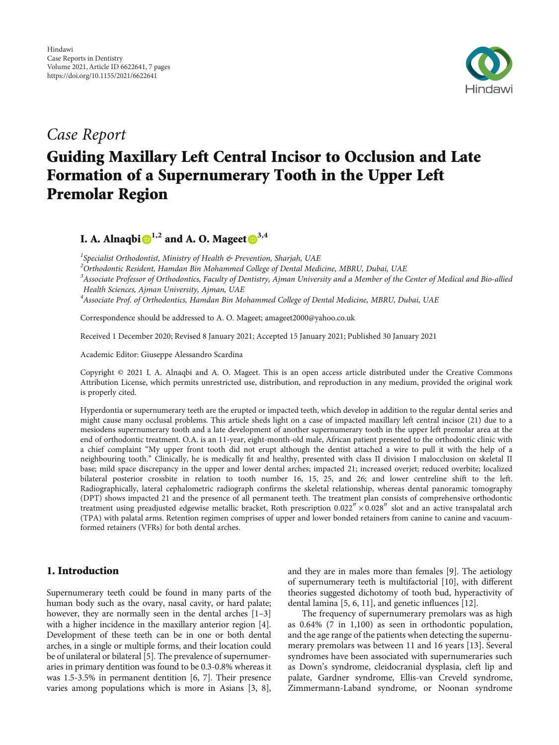

*Case Report*

# Guiding Maxillary Left Central Incisor to Occlusion and Late Formation of a Supernumerary Tooth in the Upper Left Premolar Region

I. A. Alnaqbi $\mathbf{D}^{1,2}$  and A. O. Mageet  $\mathbf{D}^{3,4}$ 

*1 Specialist Orthodontist, Ministry of Health & Prevention, Sharjah, UAE*

*<sup>2</sup>Orthodontic Resident, Hamdan Bin Mohammed College of Dental Medicine, MBRU, Dubai, UAE*

*<sup>3</sup>Associate Professor of Orthodontics, Faculty of Dentistry, Ajman University and a Member of the Center of Medical and Bio-allied Health Sciences, Ajman University, Ajman, UAE*

*<sup>4</sup>Associate Prof. of Orthodontics, Hamdan Bin Mohammed College of Dental Medicine, MBRU, Dubai, UAE*

Correspondence should be addressed to A. O. Mageet; amageet2000@yahoo.co.uk

Received 1 December 2020; Revised 8 January 2021; Accepted 15 January 2021; Published 30 January 2021

Academic Editor: Giuseppe Alessandro Scardina

Copyright © 2021 I. A. Alnaqbi and A. O. Mageet. This is an open access article distributed under the [Creative Commons](https://creativecommons.org/licenses/by/4.0/) [Attribution License](https://creativecommons.org/licenses/by/4.0/), which permits unrestricted use, distribution, and reproduction in any medium, provided the original work is properly cited.

Hyperdontia or supernumerary teeth are the erupted or impacted teeth, which develop in addition to the regular dental series and might cause many occlusal problems. This article sheds light on a case of impacted maxillary left central incisor (21) due to a mesiodens supernumerary tooth and a late development of another supernumerary tooth in the upper left premolar area at the end of orthodontic treatment. O.A. is an 11-year, eight-month-old male, African patient presented to the orthodontic clinic with a chief complaint "My upper front tooth did not erupt although the dentist attached a wire to pull it with the help of a neighbouring tooth." Clinically, he is medically fit and healthy, presented with class II division I malocclusion on skeletal II base; mild space discrepancy in the upper and lower dental arches; impacted 21; increased overjet; reduced overbite; localized bilateral posterior crossbite in relation to tooth number 16, 15, 25, and 26; and lower centreline shift to the left. Radiographically, lateral cephalometric radiograph confirms the skeletal relationship, whereas dental panoramic tomography (DPT) shows impacted 21 and the presence of all permanent teeth. The treatment plan consists of comprehensive orthodontic treatment using preadjusted edgewise metallic bracket, Roth prescription 0.022<sup>"</sup> × 0.028<sup>"</sup> slot and an active transpalatal arch (TPA) with palatal arms. Retention regimen comprises of upper and lower bonded retainers from canine to canine and vacuumformed retainers (VFRs) for both dental arches.

## 1. Introduction

Supernumerary teeth could be found in many parts of the human body such as the ovary, nasal cavity, or hard palate; however, they are normally seen in the dental arches [\[1](#page-6-0)–[3\]](#page-6-0) with a higher incidence in the maxillary anterior region [[4](#page-6-0)]. Development of these teeth can be in one or both dental arches, in a single or multiple forms, and their location could be of unilateral or bilateral [\[5\]](#page-6-0). The prevalence of supernumeraries in primary dentition was found to be 0.3-0.8% whereas it was 1.5-3.5% in permanent dentition [\[6, 7](#page-6-0)]. Their presence varies among populations which is more in Asians [\[3](#page-6-0), [8](#page-6-0)],

and they are in males more than females [\[9\]](#page-6-0). The aetiology of supernumerary teeth is multifactorial [\[10](#page-6-0)], with different theories suggested dichotomy of tooth bud, hyperactivity of dental lamina [[5](#page-6-0), [6](#page-6-0), [11](#page-6-0)], and genetic influences [\[12\]](#page-6-0).

The frequency of supernumerary premolars was as high as 0.64% (7 in 1,100) as seen in orthodontic population, and the age range of the patients when detecting the supernumerary premolars was between 11 and 16 years [\[13\]](#page-6-0). Several syndromes have been associated with supernumeraries such as Down's syndrome, cleidocranial dysplasia, cleft lip and palate, Gardner syndrome, Ellis-van Creveld syndrome, Zimmermann-Laband syndrome, or Noonan syndrome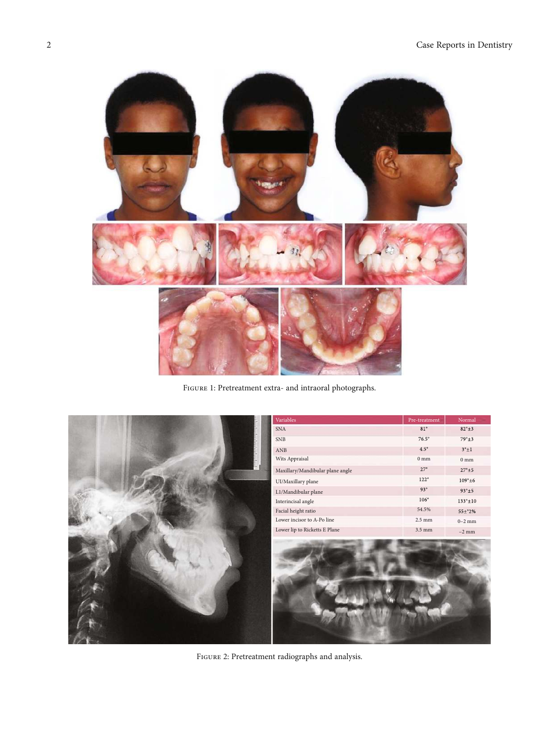<span id="page-1-0"></span>

FIGURE 1: Pretreatment extra- and intraoral photographs.



Figure 2: Pretreatment radiographs and analysis.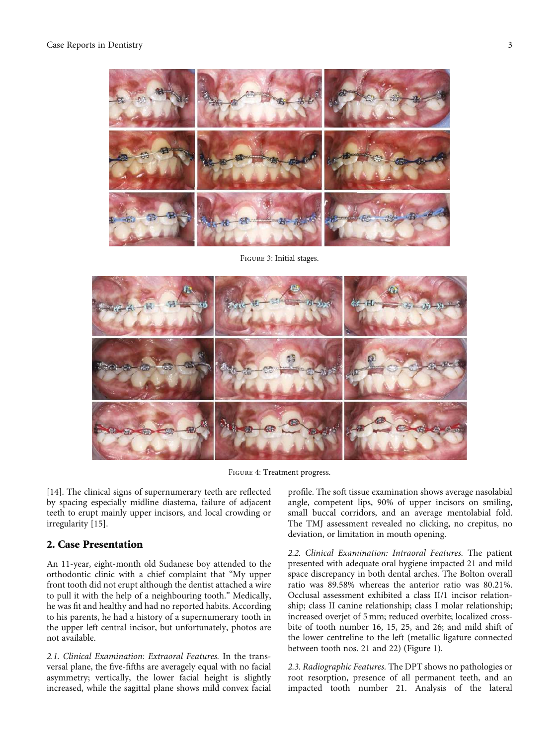<span id="page-2-0"></span>

Figure 3: Initial stages.



Figure 4: Treatment progress.

[\[14](#page-6-0)]. The clinical signs of supernumerary teeth are reflected by spacing especially midline diastema, failure of adjacent teeth to erupt mainly upper incisors, and local crowding or irregularity [[15](#page-6-0)].

### 2. Case Presentation

An 11-year, eight-month old Sudanese boy attended to the orthodontic clinic with a chief complaint that "My upper front tooth did not erupt although the dentist attached a wire to pull it with the help of a neighbouring tooth." Medically, he was fit and healthy and had no reported habits. According to his parents, he had a history of a supernumerary tooth in the upper left central incisor, but unfortunately, photos are not available.

*2.1. Clinical Examination: Extraoral Features.* In the transversal plane, the five-fifths are averagely equal with no facial asymmetry; vertically, the lower facial height is slightly increased, while the sagittal plane shows mild convex facial profile. The soft tissue examination shows average nasolabial angle, competent lips, 90% of upper incisors on smiling, small buccal corridors, and an average mentolabial fold. The TMJ assessment revealed no clicking, no crepitus, no deviation, or limitation in mouth opening.

*2.2. Clinical Examination: Intraoral Features.* The patient presented with adequate oral hygiene impacted 21 and mild space discrepancy in both dental arches. The Bolton overall ratio was 89.58% whereas the anterior ratio was 80.21%. Occlusal assessment exhibited a class II/1 incisor relationship; class II canine relationship; class I molar relationship; increased overjet of 5 mm; reduced overbite; localized crossbite of tooth number 16, 15, 25, and 26; and mild shift of the lower centreline to the left (metallic ligature connected between tooth nos. 21 and 22) (Figure [1\)](#page-1-0).

*2.3. Radiographic Features.* The DPT shows no pathologies or root resorption, presence of all permanent teeth, and an impacted tooth number 21. Analysis of the lateral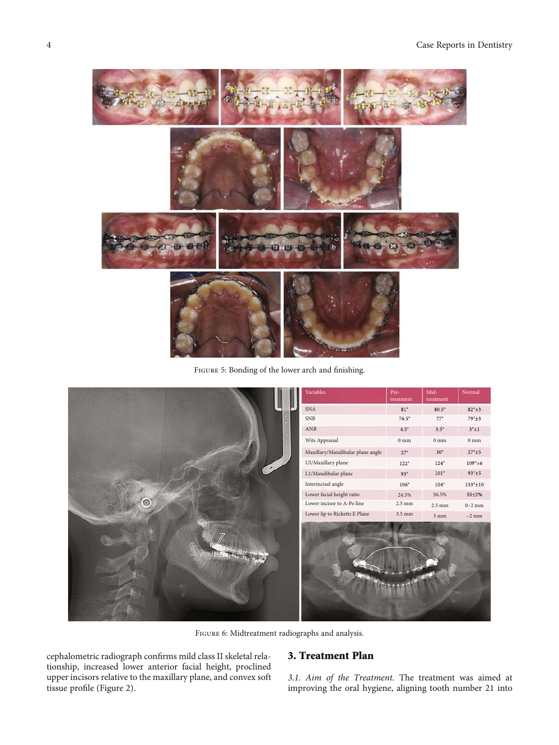<span id="page-3-0"></span>

Figure 5: Bonding of the lower arch and finishing.

|  | Variables                        | Pre-<br>treatment | $Mid-$<br>treatment | Normal               |
|--|----------------------------------|-------------------|---------------------|----------------------|
|  | SNA                              | $81^{\circ}$      | $80.5^\circ$        | $82^{\circ} \pm 3$   |
|  | <b>SNB</b>                       | $76.5^\circ$      | $77^{\circ}$        | $79^\circ \pm 3$     |
|  | ANB                              | $4.5^{\circ}$     | $3.5^{\circ}$       | $3^{\circ} \pm 1$    |
|  | Wits Appraisal                   | $0\;\mathrm{mm}$  | $0\;\mathrm{mm}$    | $0\;\mathrm{mm}$     |
|  | Maxillary/Mandibular plane angle | $27^{\circ}$      | $30^\circ$          | $27^{\rm o}{\pm}5$   |
|  | UI/Maxillary plane               | $122^{\circ}$     | $124^{\circ}$       | $109^{\circ}$ ±6     |
|  | L1/Mandibular plane              | $93^\circ$        | $101^{\circ}$       | $93^\circ \pm 5$     |
|  | Interincisal angle               | $106^{\circ}$     | $104^{\circ}$       | $133^{\circ} \pm 10$ |
|  | Lower facial height ratio        | 24.5%             | 56.5%               | $55 \pm 2\%$         |
|  | Lower incisor to A-Po line       | $2.5 \text{ mm}$  | $2.5\;\mathrm{mm}$  | $0-2$ mm             |
|  | Lower lip to Ricketts E Plane    | 3.5 mm            | $3~\mathrm{mm}$     | $-2$ mm              |
|  |                                  |                   |                     |                      |

Figure 6: Midtreatment radiographs and analysis.

cephalometric radiograph confirms mild class II skeletal relationship, increased lower anterior facial height, proclined upper incisors relative to the maxillary plane, and convex soft tissue profile (Figure [2\)](#page-1-0).

# 3. Treatment Plan

*3.1. Aim of the Treatment.* The treatment was aimed at improving the oral hygiene, aligning tooth number 21 into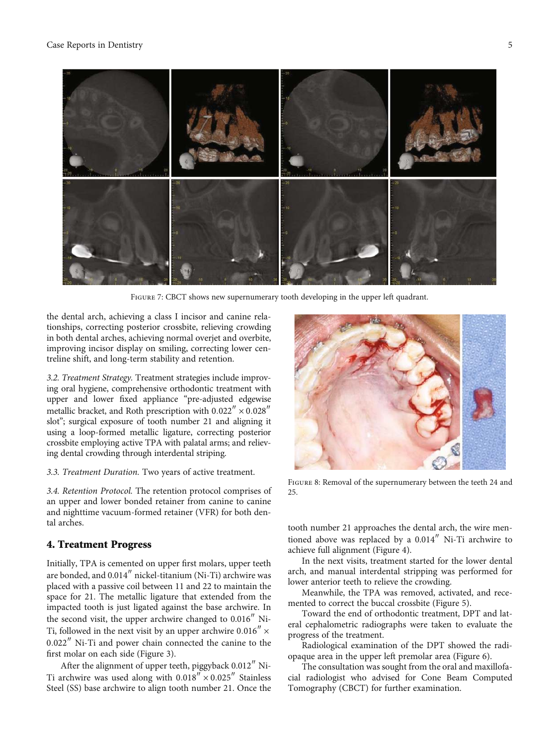#### <span id="page-4-0"></span>Case Reports in Dentistry 5



Figure 7: CBCT shows new supernumerary tooth developing in the upper left quadrant.

the dental arch, achieving a class I incisor and canine relationships, correcting posterior crossbite, relieving crowding in both dental arches, achieving normal overjet and overbite, improving incisor display on smiling, correcting lower centreline shift, and long-term stability and retention.

*3.2. Treatment Strategy.* Treatment strategies include improving oral hygiene, comprehensive orthodontic treatment with upper and lower fixed appliance "pre-adjusted edgewise metallic bracket, and Roth prescription with  $0.022'' \times 0.028''$ slot"; surgical exposure of tooth number 21 and aligning it using a loop-formed metallic ligature, correcting posterior crossbite employing active TPA with palatal arms; and relieving dental crowding through interdental striping.

*3.3. Treatment Duration.* Two years of active treatment.

*3.4. Retention Protocol.* The retention protocol comprises of an upper and lower bonded retainer from canine to canine and nighttime vacuum-formed retainer (VFR) for both dental arches.

### 4. Treatment Progress

Initially, TPA is cemented on upper first molars, upper teeth are bonded, and 0.014″ nickel-titanium (Ni-Ti) archwire was placed with a passive coil between 11 and 22 to maintain the space for 21. The metallic ligature that extended from the impacted tooth is just ligated against the base archwire. In the second visit, the upper archwire changed to 0.016″ Ni-Ti, followed in the next visit by an upper archwire  $0.016'' \times$ 0*:*022″ Ni-Ti and power chain connected the canine to the first molar on each side (Figure [3](#page-2-0)).

After the alignment of upper teeth, piggyback 0.012″ Ni-Ti archwire was used along with  $0.018'' \times 0.025''$  Stainless Steel (SS) base archwire to align tooth number 21. Once the



FIGURE 8: Removal of the supernumerary between the teeth 24 and 25.

tooth number 21 approaches the dental arch, the wire mentioned above was replaced by a 0.014″ Ni-Ti archwire to achieve full alignment (Figure [4](#page-2-0)).

In the next visits, treatment started for the lower dental arch, and manual interdental stripping was performed for lower anterior teeth to relieve the crowding.

Meanwhile, the TPA was removed, activated, and recemented to correct the buccal crossbite (Figure [5](#page-3-0)).

Toward the end of orthodontic treatment, DPT and lateral cephalometric radiographs were taken to evaluate the progress of the treatment.

Radiological examination of the DPT showed the radiopaque area in the upper left premolar area (Figure [6\)](#page-3-0).

The consultation was sought from the oral and maxillofacial radiologist who advised for Cone Beam Computed Tomography (CBCT) for further examination.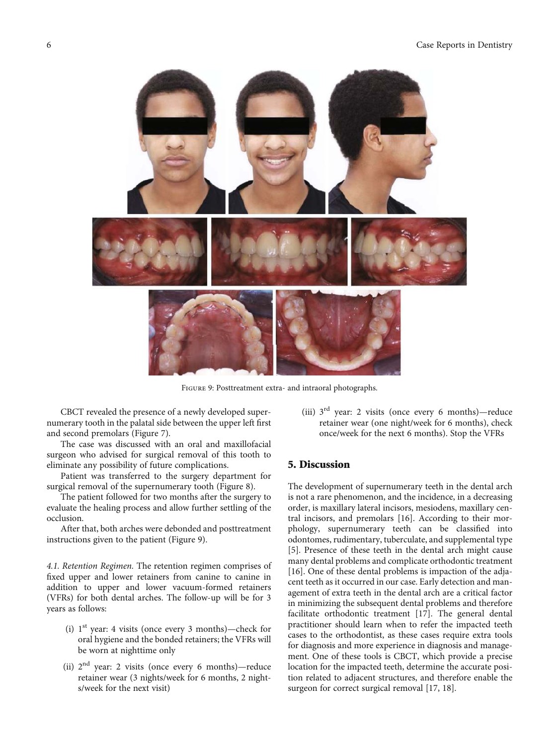

Figure 9: Posttreatment extra- and intraoral photographs.

CBCT revealed the presence of a newly developed supernumerary tooth in the palatal side between the upper left first and second premolars (Figure [7](#page-4-0)).

The case was discussed with an oral and maxillofacial surgeon who advised for surgical removal of this tooth to eliminate any possibility of future complications.

Patient was transferred to the surgery department for surgical removal of the supernumerary tooth (Figure [8\)](#page-4-0).

The patient followed for two months after the surgery to evaluate the healing process and allow further settling of the occlusion.

After that, both arches were debonded and posttreatment instructions given to the patient (Figure 9).

*4.1. Retention Regimen.* The retention regimen comprises of fixed upper and lower retainers from canine to canine in addition to upper and lower vacuum-formed retainers (VFRs) for both dental arches. The follow-up will be for 3 years as follows:

- (i)  $1<sup>st</sup>$  year: 4 visits (once every 3 months)—check for oral hygiene and the bonded retainers; the VFRs will be worn at nighttime only
- (ii)  $2<sup>nd</sup>$  year: 2 visits (once every 6 months)—reduce retainer wear (3 nights/week for 6 months, 2 nights/week for the next visit)

(iii)  $3<sup>rd</sup>$  year: 2 visits (once every 6 months)—reduce retainer wear (one night/week for 6 months), check once/week for the next 6 months). Stop the VFRs

# 5. Discussion

The development of supernumerary teeth in the dental arch is not a rare phenomenon, and the incidence, in a decreasing order, is maxillary lateral incisors, mesiodens, maxillary central incisors, and premolars [\[16\]](#page-6-0). According to their morphology, supernumerary teeth can be classified into odontomes, rudimentary, tuberculate, and supplemental type [\[5](#page-6-0)]. Presence of these teeth in the dental arch might cause many dental problems and complicate orthodontic treatment [\[16\]](#page-6-0). One of these dental problems is impaction of the adjacent teeth as it occurred in our case. Early detection and management of extra teeth in the dental arch are a critical factor in minimizing the subsequent dental problems and therefore facilitate orthodontic treatment [\[17\]](#page-6-0). The general dental practitioner should learn when to refer the impacted teeth cases to the orthodontist, as these cases require extra tools for diagnosis and more experience in diagnosis and management. One of these tools is CBCT, which provide a precise location for the impacted teeth, determine the accurate position related to adjacent structures, and therefore enable the surgeon for correct surgical removal [\[17, 18](#page-6-0)].